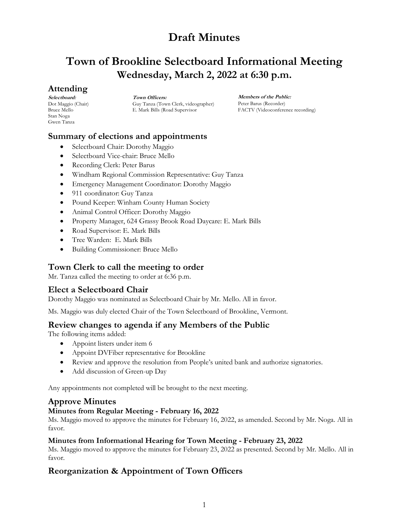# **Town of Brookline Selectboard Informational Meeting Wednesday, March 2, 2022 at 6:30 p.m.**

## **Attending**

**Selectboard:** Dot Maggio (Chair) Bruce Mello Stan Noga Gwen Tanza

**Town Officers:** Guy Tanza (Town Clerk, videographer) E. Mark Bills (Road Supervisor

**Members of the Public:** Peter Barus (Recorder) FACTV (Videoconference recording)

## **Summary of elections and appointments**

- Selectboard Chair: Dorothy Maggio
- Selectboard Vice-chair: Bruce Mello
- Recording Clerk: Peter Barus
- Windham Regional Commission Representative: Guy Tanza
- Emergency Management Coordinator: Dorothy Maggio
- 911 coordinator: Guy Tanza
- Pound Keeper: Winham County Human Society
- Animal Control Officer: Dorothy Maggio
- Property Manager, 624 Grassy Brook Road Daycare: E. Mark Bills
- Road Supervisor: E. Mark Bills
- Tree Warden: E. Mark Bills
- Building Commissioner: Bruce Mello

## **Town Clerk to call the meeting to order**

Mr. Tanza called the meeting to order at 6:36 p.m.

## **Elect a Selectboard Chair**

Dorothy Maggio was nominated as Selectboard Chair by Mr. Mello. All in favor.

Ms. Maggio was duly elected Chair of the Town Selectboard of Brookline, Vermont.

## **Review changes to agenda if any Members of the Public**

The following items added:

- Appoint listers under item 6
- Appoint DVFiber representative for Brookline
- Review and approve the resolution from People's united bank and authorize signatories.
- Add discussion of Green-up Day

Any appointments not completed will be brought to the next meeting.

## **Approve Minutes**

## **Minutes from Regular Meeting - February 16, 2022**

Ms. Maggio moved to approve the minutes for February 16, 2022, as amended. Second by Mr. Noga. All in favor.

#### **Minutes from Informational Hearing for Town Meeting - February 23, 2022**

Ms. Maggio moved to approve the minutes for February 23, 2022 as presented. Second by Mr. Mello. All in favor.

# **Reorganization & Appointment of Town Officers**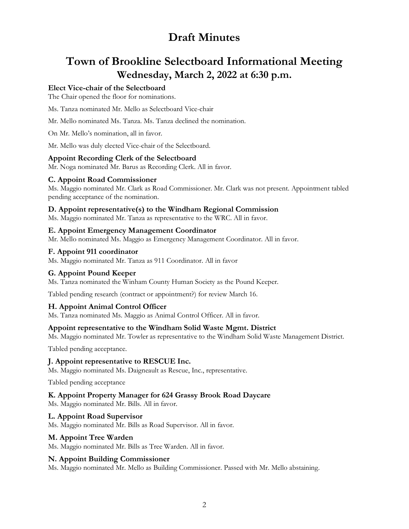# **Town of Brookline Selectboard Informational Meeting Wednesday, March 2, 2022 at 6:30 p.m.**

#### **Elect Vice-chair of the Selectboard**

The Chair opened the floor for nominations.

Ms. Tanza nominated Mr. Mello as Selectboard Vice-chair

Mr. Mello nominated Ms. Tanza. Ms. Tanza declined the nomination.

On Mr. Mello's nomination, all in favor.

Mr. Mello was duly elected Vice-chair of the Selectboard.

#### **Appoint Recording Clerk of the Selectboard**

Mr. Noga nominated Mr. Barus as Recording Clerk. All in favor.

#### **C. Appoint Road Commissioner**

Ms. Maggio nominated Mr. Clark as Road Commissioner. Mr. Clark was not present. Appointment tabled pending acceptance of the nomination.

#### **D. Appoint representative(s) to the Windham Regional Commission**

Ms. Maggio nominated Mr. Tanza as representative to the WRC. All in favor.

#### **E. Appoint Emergency Management Coordinator**

Mr. Mello nominated Ms. Maggio as Emergency Management Coordinator. All in favor.

#### **F. Appoint 911 coordinator**

Ms. Maggio nominated Mr. Tanza as 911 Coordinator. All in favor

#### **G. Appoint Pound Keeper**

Ms. Tanza nominated the Winham County Human Society as the Pound Keeper.

Tabled pending research (contract or appointment?) for review March 16.

#### **H. Appoint Animal Control Officer**

Ms. Tanza nominated Ms. Maggio as Animal Control Officer. All in favor.

#### **Appoint representative to the Windham Solid Waste Mgmt. District**

Ms. Maggio nominated Mr. Towler as representative to the Windham Solid Waste Management District.

Tabled pending acceptance.

#### **J. Appoint representative to RESCUE Inc.**

Ms. Maggio nominated Ms. Daigneault as Rescue, Inc., representative.

Tabled pending acceptance

#### **K. Appoint Property Manager for 624 Grassy Brook Road Daycare**

Ms. Maggio nominated Mr. Bills. All in favor.

#### **L. Appoint Road Supervisor**

Ms. Maggio nominated Mr. Bills as Road Supervisor. All in favor.

#### **M. Appoint Tree Warden**

Ms. Maggio nominated Mr. Bills as Tree Warden. All in favor.

#### **N. Appoint Building Commissioner**

Ms. Maggio nominated Mr. Mello as Building Commissioner. Passed with Mr. Mello abstaining.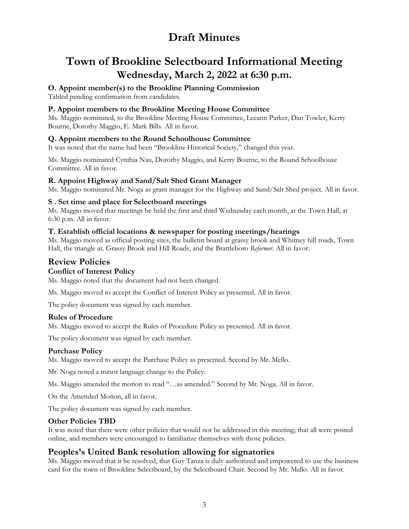# **Town of Brookline Selectboard Informational Meeting Wednesday, March 2, 2022 at 6:30 p.m.**

**O. Appoint member(s) to the Brookline Planning Commission**

Tabled pending confirmation from candidates.

### **P. Appoint members to the Brookline Meeting House Committee**

Ms. Maggio nominated, to the Brookline Meeting House Committee, Leeann Parker, Dan Towler, Kerry Bourne, Dorothy Maggio, E. Mark Bills. All in favor.

### **Q. Appoint members to the Round Schoolhouse Committee**

It was noted that the name had been "Brookline Historical Society," changed this year.

Ms. Maggio nominated Cynthia Nau, Dorothy Maggio, and Kerry Bourne, to the Round Schoolhouse Committee. All in favor.

### **R. Appoint Highway and Sand/Salt Shed Grant Manager**

Ms. Maggio nominated Mr. Noga as grant manager for the Highway and Sand/Salt Shed project. All in favor.

### **S . Set time and place for Selectboard meetings**

Ms. Maggio moved that meetings be held the first and third Wednesday each month, at the Town Hall, at 6:30 p.m. All in favor.

#### **T. Establish official locations & newspaper for posting meetings/hearings**

Ms. Maggio moved as official posting sites, the bulletin board at grassy brook and Whitney hill roads, Town Hall, the triangle at. Grassy Brook and Hill Roads, and the Brattleboro *Reformer.* All in favor.

## **Review Policies**

#### **Conflict of Interest Policy**

Ms. Maggio noted that the document had not been changed.

Ms. Maggio moved to accept the Conflict of Interest Policy as presented. All in favor.

The policy document was signed by each member.

#### **Rules of Procedure**

Ms. Maggio moved to accept the Rules of Procedure Policy as presented. All in favor.

The policy document was signed by each member.

#### **Purchase Policy**

Ms. Maggio moved to accept the Purchase Policy as presented. Second by Mr. Mello.

Mr. Noga noted a minor language change to the Policy.

Ms. Maggio amended the motion to read "…as amended." Second by Mr. Noga. All in favor.

On the Amended Motion, all in favor.

The policy document was signed by each member.

#### **Other Policies TBD**

It was noted that there were other policies that would not be addressed in this meeting; that all were posted online, and members were encouraged to familiarize themselves with those policies.

## **Peoples's United Bank resolution allowing for signatories**

Ms. Maggio moved that it be resolved, that Guy Tanza is duly authorized and empowered to use the business card for the town of Brookline Selectboard, by the Selectboard Chair. Second by Mr. Mello. All in favor.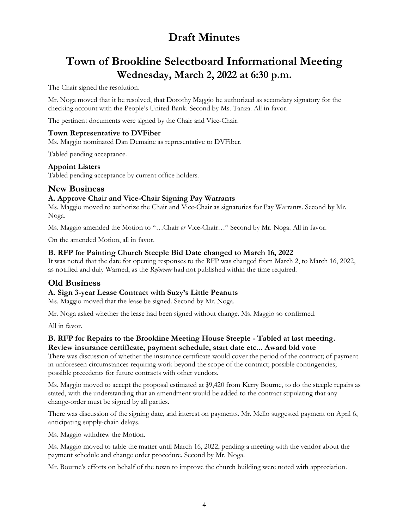# **Town of Brookline Selectboard Informational Meeting Wednesday, March 2, 2022 at 6:30 p.m.**

The Chair signed the resolution.

Mr. Noga moved that it be resolved, that Dorothy Maggio be authorized as secondary signatory for the checking account with the People's United Bank. Second by Ms. Tanza. All in favor.

The pertinent documents were signed by the Chair and Vice-Chair.

### **Town Representative to DVFiber**

Ms. Maggio nominated Dan Demaine as representative to DVFiber.

Tabled pending acceptance.

#### **Appoint Listers**

Tabled pending acceptance by current office holders.

## **New Business**

### **A. Approve Chair and Vice-Chair Signing Pay Warrants**

Ms. Maggio moved to authorize the Chair and Vice-Chair as signatories for Pay Warrants. Second by Mr. Noga.

Ms. Maggio amended the Motion to "…Chair *or* Vice-Chair…" Second by Mr. Noga. All in favor.

On the amended Motion, all in favor.

### **B. RFP for Painting Church Steeple Bid Date changed to March 16, 2022**

It was noted that the date for opening responses to the RFP was changed from March 2, to March 16, 2022, as notified and duly Warned, as the *Reformer* had not published within the time required.

## **Old Business**

#### **A. Sign 3-year Lease Contract with Suzy's Little Peanuts**

Ms. Maggio moved that the lease be signed. Second by Mr. Noga.

Mr. Noga asked whether the lease had been signed without change. Ms. Maggio so confirmed.

All in favor.

### **B. RFP for Repairs to the Brookline Meeting House Steeple - Tabled at last meeting. Review insurance certificate, payment schedule, start date etc... Award bid vote**

There was discussion of whether the insurance certificate would cover the period of the contract; of payment in unforeseen circumstances requiring work beyond the scope of the contract; possible contingencies; possible precedents for future contracts with other vendors.

Ms. Maggio moved to accept the proposal estimated at \$9,420 from Kerry Bourne, to do the steeple repairs as stated, with the understanding that an amendment would be added to the contract stipulating that any change-order must be signed by all parties.

There was discussion of the signing date, and interest on payments. Mr. Mello suggested payment on April 6, anticipating supply-chain delays.

Ms. Maggio withdrew the Motion.

Ms. Maggio moved to table the matter until March 16, 2022, pending a meeting with the vendor about the payment schedule and change order procedure. Second by Mr. Noga.

Mr. Bourne's efforts on behalf of the town to improve the church building were noted with appreciation.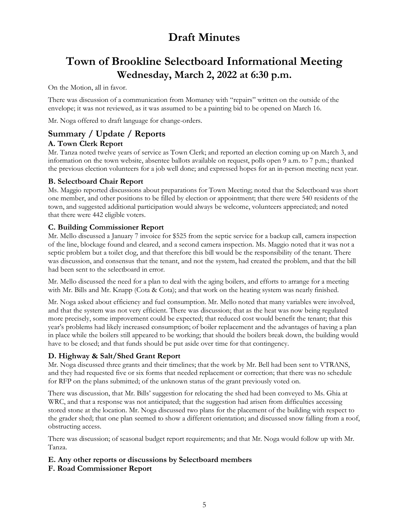# **Town of Brookline Selectboard Informational Meeting Wednesday, March 2, 2022 at 6:30 p.m.**

On the Motion, all in favor.

There was discussion of a communication from Momaney with "repairs" written on the outside of the envelope; it was not reviewed, as it was assumed to be a painting bid to be opened on March 16.

Mr. Noga offered to draft language for change-orders.

# **Summary / Update / Reports**

### **A. Town Clerk Report**

Mr. Tanza noted twelve years of service as Town Clerk; and reported an election coming up on March 3, and information on the town website, absentee ballots available on request, polls open 9 a.m. to 7 p.m.; thanked the previous election volunteers for a job well done; and expressed hopes for an in-person meeting next year.

### **B. Selectboard Chair Report**

Ms. Maggio reported discussions about preparations for Town Meeting; noted that the Selectboard was short one member, and other positions to be filled by election or appointment; that there were 540 residents of the town, and suggested additional participation would always be welcome, volunteers appreciated; and noted that there were 442 eligible voters.

#### **C. Building Commissioner Report**

Mr. Mello discussed a January 7 invoice for \$525 from the septic service for a backup call, camera inspection of the line, blockage found and cleared, and a second camera inspection. Ms. Maggio noted that it was not a septic problem but a toilet clog, and that therefore this bill would be the responsibility of the tenant. There was discussion, and consensus that the tenant, and not the system, had created the problem, and that the bill had been sent to the selectboard in error.

Mr. Mello discussed the need for a plan to deal with the aging boilers, and efforts to arrange for a meeting with Mr. Bills and Mr. Knapp (Cota & Cota); and that work on the heating system was nearly finished.

Mr. Noga asked about efficiency and fuel consumption. Mr. Mello noted that many variables were involved, and that the system was not very efficient. There was discussion; that as the heat was now being regulated more precisely, some improvement could be expected; that reduced cost would benefit the tenant; that this year's problems had likely increased consumption; of boiler replacement and the advantages of having a plan in place while the boilers still appeared to be working; that should the boilers break down, the building would have to be closed; and that funds should be put aside over time for that contingency.

## **D. Highway & Salt/Shed Grant Report**

Mr. Noga discussed three grants and their timelines; that the work by Mr. Bell had been sent to VTRANS, and they had requested five or six forms that needed replacement or correction; that there was no schedule for RFP on the plans submitted; of the unknown status of the grant previously voted on.

There was discussion, that Mr. Bills' suggestion for relocating the shed had been conveyed to Ms. Ghia at WRC, and that a response was not anticipated; that the suggestion had arisen from difficulties accessing stored stone at the location. Mr. Noga discussed two plans for the placement of the building with respect to the grader shed; that one plan seemed to show a different orientation; and discussed snow falling from a roof, obstructing access.

There was discussion; of seasonal budget report requirements; and that Mr. Noga would follow up with Mr. Tanza.

## **E. Any other reports or discussions by Selectboard members**

**F. Road Commissioner Report**